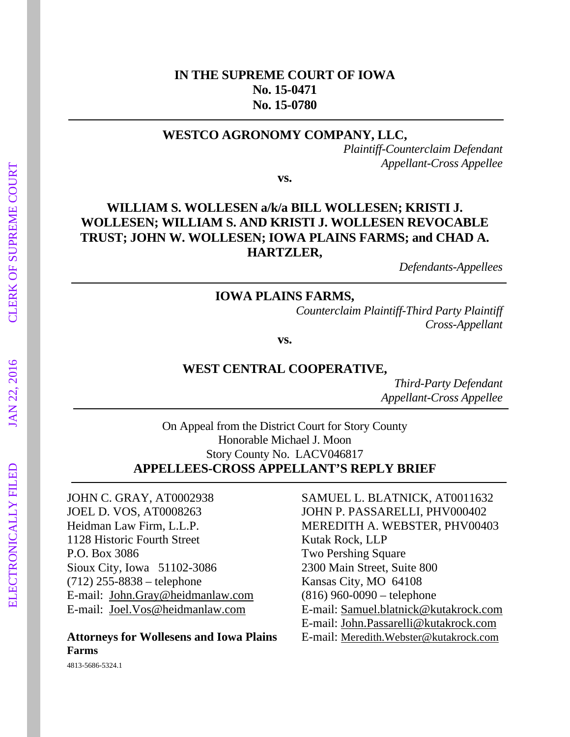### **IN THE SUPREME COURT OF IOWA No. 15-0471 No. 15-0780**

#### **WESTCO AGRONOMY COMPANY, LLC,**

*Plaintiff-Counterclaim Defendant Appellant-Cross Appellee* 

**vs.** 

## **WILLIAM S. WOLLESEN a/k/a BILL WOLLESEN; KRISTI J. WOLLESEN; WILLIAM S. AND KRISTI J. WOLLESEN REVOCABLE TRUST; JOHN W. WOLLESEN; IOWA PLAINS FARMS; and CHAD A. HARTZLER,**

*Defendants-Appellees* 

#### **IOWA PLAINS FARMS,**

*Counterclaim Plaintiff-Third Party Plaintiff Cross-Appellant* 

**vs.** 

#### **WEST CENTRAL COOPERATIVE,**

*Third-Party Defendant Appellant-Cross Appellee* 

On Appeal from the District Court for Story County Honorable Michael J. Moon Story County No. LACV046817 **APPELLEES-CROSS APPELLANT'S REPLY BRIEF** 

JOHN C. GRAY, AT0002938 SAMUEL L. BLATNICK, AT0011632 JOEL D. VOS, AT0008263 JOHN P. PASSARELLI, PHV000402 1128 Historic Fourth Street Kutak Rock, LLP P.O. Box 3086 Two Pershing Square Sioux City, Iowa 51102-3086 2300 Main Street, Suite 800 (712) 255-8838 – telephone Kansas City, MO 64108 E-mail: John.Gray@heidmanlaw.com (816) 960-0090 – telephone

# **Farms**

Heidman Law Firm, L.L.P. MEREDITH A. WEBSTER, PHV00403 E-mail: Joel.Vos@heidmanlaw.com E-mail: Samuel.blatnick@kutakrock.com E-mail: John.Passarelli@kutakrock.com **Attorneys for Wollesens and Iowa Plains** E-mail: Meredith.Webster@kutakrock.com

4813-5686-5324.1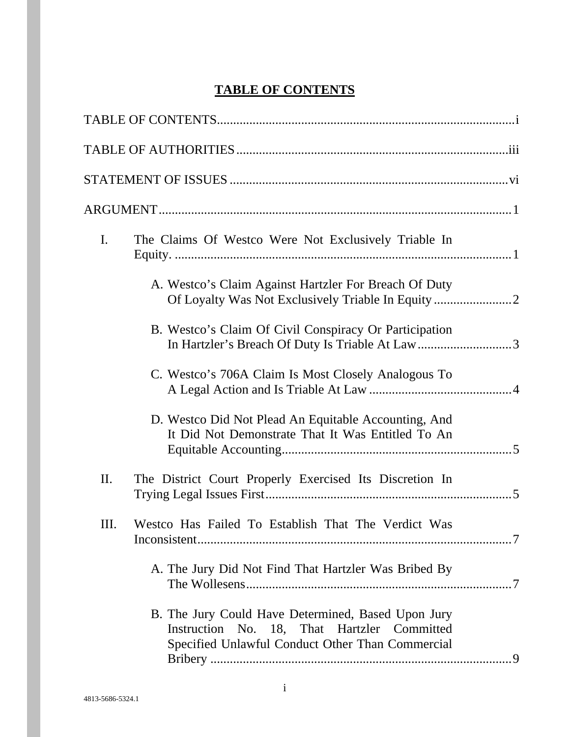## **TABLE OF CONTENTS**

| I.   | The Claims Of Westco Were Not Exclusively Triable In                                                                                                  |  |
|------|-------------------------------------------------------------------------------------------------------------------------------------------------------|--|
|      | A. Westco's Claim Against Hartzler For Breach Of Duty                                                                                                 |  |
|      | B. Westco's Claim Of Civil Conspiracy Or Participation<br>In Hartzler's Breach Of Duty Is Triable At Law3                                             |  |
|      | C. Westco's 706A Claim Is Most Closely Analogous To                                                                                                   |  |
|      | D. Westco Did Not Plead An Equitable Accounting, And<br>It Did Not Demonstrate That It Was Entitled To An                                             |  |
| Π.   | The District Court Properly Exercised Its Discretion In                                                                                               |  |
| III. | Westco Has Failed To Establish That The Verdict Was                                                                                                   |  |
|      | A. The Jury Did Not Find That Hartzler Was Bribed By                                                                                                  |  |
|      | B. The Jury Could Have Determined, Based Upon Jury<br>Instruction No. 18, That Hartzler Committed<br>Specified Unlawful Conduct Other Than Commercial |  |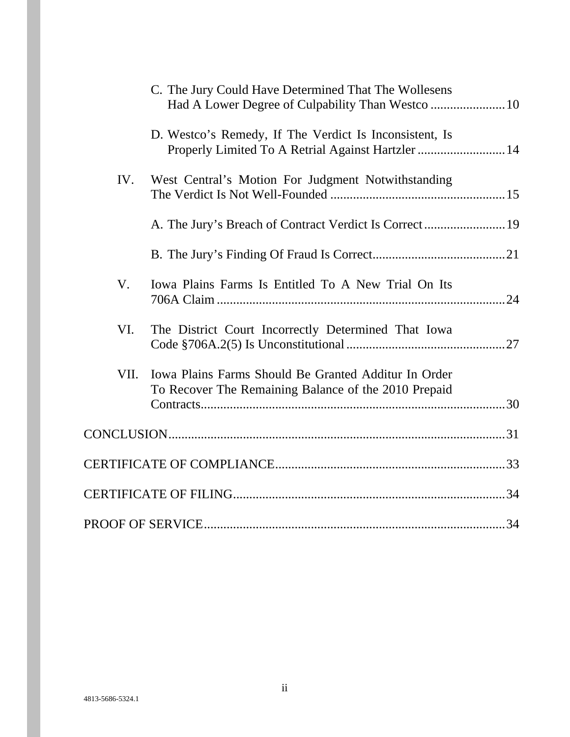|      | C. The Jury Could Have Determined That The Wollesens<br>Had A Lower Degree of Culpability Than Westco  10    |  |
|------|--------------------------------------------------------------------------------------------------------------|--|
|      | D. Westco's Remedy, If The Verdict Is Inconsistent, Is<br>Properly Limited To A Retrial Against Hartzler  14 |  |
| IV.  | West Central's Motion For Judgment Notwithstanding                                                           |  |
|      |                                                                                                              |  |
|      |                                                                                                              |  |
| V.   | Iowa Plains Farms Is Entitled To A New Trial On Its                                                          |  |
| VI.  | The District Court Incorrectly Determined That Iowa                                                          |  |
| VII. | Iowa Plains Farms Should Be Granted Additur In Order                                                         |  |
|      | To Recover The Remaining Balance of the 2010 Prepaid                                                         |  |
|      |                                                                                                              |  |
|      |                                                                                                              |  |
|      |                                                                                                              |  |
|      |                                                                                                              |  |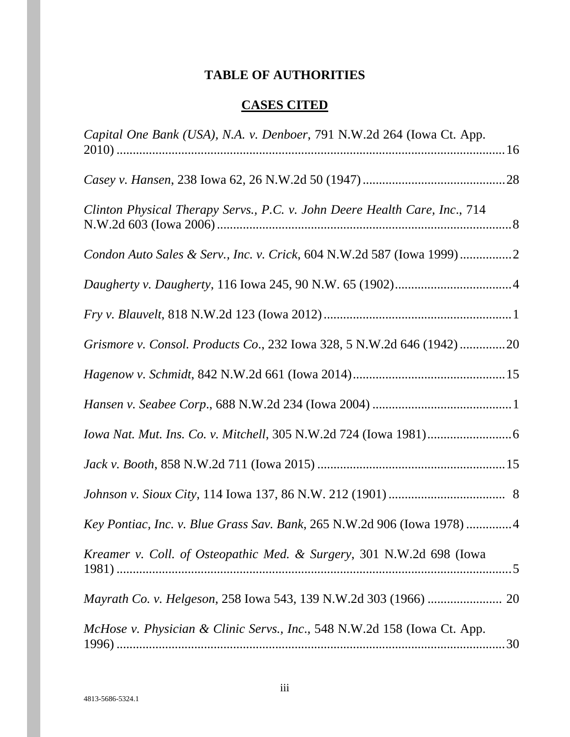## **TABLE OF AUTHORITIES**

## **CASES CITED**

| Capital One Bank (USA), N.A. v. Denboer, 791 N.W.2d 264 (Iowa Ct. App.     |  |
|----------------------------------------------------------------------------|--|
|                                                                            |  |
| Clinton Physical Therapy Servs., P.C. v. John Deere Health Care, Inc., 714 |  |
| Condon Auto Sales & Serv., Inc. v. Crick, 604 N.W.2d 587 (Iowa 1999)2      |  |
|                                                                            |  |
|                                                                            |  |
| Grismore v. Consol. Products Co., 232 Iowa 328, 5 N.W.2d 646 (1942)20      |  |
|                                                                            |  |
|                                                                            |  |
|                                                                            |  |
|                                                                            |  |
|                                                                            |  |
| Key Pontiac, Inc. v. Blue Grass Sav. Bank, 265 N.W.2d 906 (Iowa 1978)4     |  |
| Kreamer v. Coll. of Osteopathic Med. & Surgery, 301 N.W.2d 698 (Iowa       |  |
|                                                                            |  |
| McHose v. Physician & Clinic Servs., Inc., 548 N.W.2d 158 (Iowa Ct. App.   |  |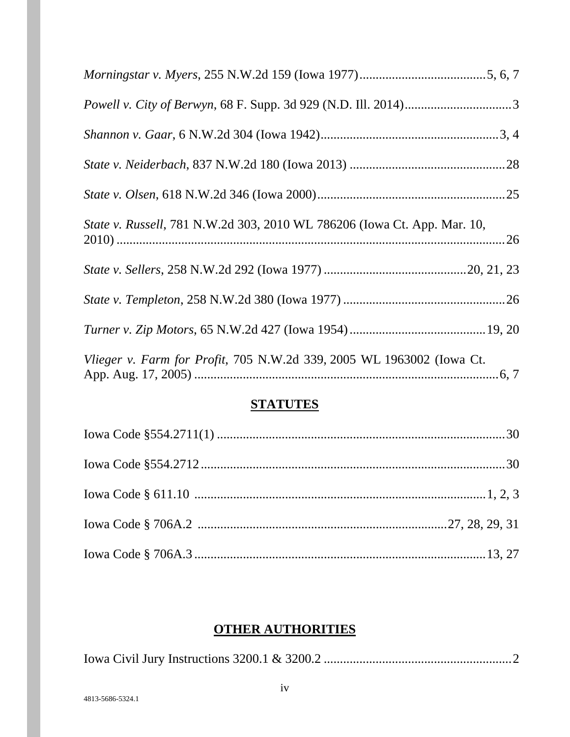| State v. Russell, 781 N.W.2d 303, 2010 WL 786206 (Iowa Ct. App. Mar. 10, |
|--------------------------------------------------------------------------|
|                                                                          |
|                                                                          |
|                                                                          |
| Vlieger v. Farm for Profit, 705 N.W.2d 339, 2005 WL 1963002 (Iowa Ct.    |

## **STATUTES**

## **OTHER AUTHORITIES**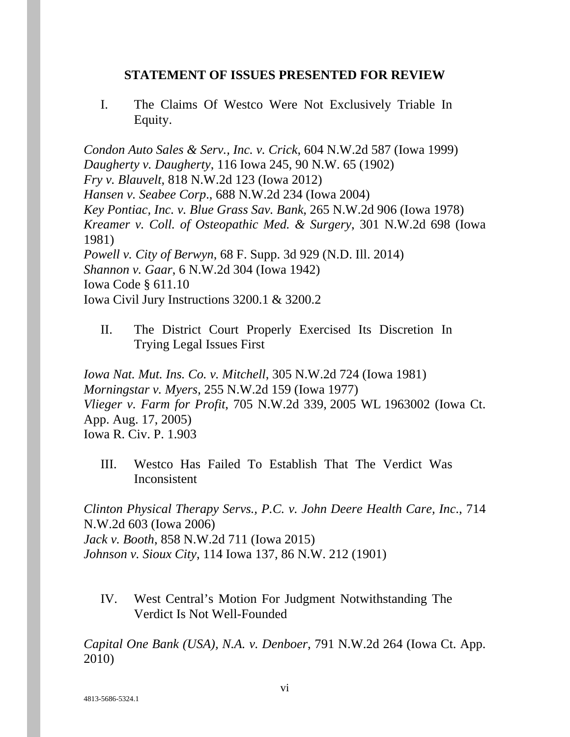#### **STATEMENT OF ISSUES PRESENTED FOR REVIEW**

I. The Claims Of Westco Were Not Exclusively Triable In Equity.

*Condon Auto Sales & Serv., Inc. v. Crick*, 604 N.W.2d 587 (Iowa 1999) *Daugherty v. Daugherty*, 116 Iowa 245, 90 N.W. 65 (1902) *Fry v. Blauvelt*, 818 N.W.2d 123 (Iowa 2012) *Hansen v. Seabee Corp*., 688 N.W.2d 234 (Iowa 2004) *Key Pontiac, Inc. v. Blue Grass Sav. Bank*, 265 N.W.2d 906 (Iowa 1978) *Kreamer v. Coll. of Osteopathic Med. & Surgery*, 301 N.W.2d 698 (Iowa 1981) *Powell v. City of Berwyn*, 68 F. Supp. 3d 929 (N.D. Ill. 2014) *Shannon v. Gaar*, 6 N.W.2d 304 (Iowa 1942) Iowa Code § 611.10 Iowa Civil Jury Instructions 3200.1 & 3200.2

II. The District Court Properly Exercised Its Discretion In Trying Legal Issues First

*Iowa Nat. Mut. Ins. Co. v. Mitchell*, 305 N.W.2d 724 (Iowa 1981) *Morningstar v. Myers*, 255 N.W.2d 159 (Iowa 1977) *Vlieger v. Farm for Profit*, 705 N.W.2d 339, 2005 WL 1963002 (Iowa Ct. App. Aug. 17, 2005) Iowa R. Civ. P. 1.903

III. Westco Has Failed To Establish That The Verdict Was Inconsistent

*Clinton Physical Therapy Servs., P.C. v. John Deere Health Care, Inc*., 714 N.W.2d 603 (Iowa 2006) *Jack v. Booth*, 858 N.W.2d 711 (Iowa 2015) *Johnson v. Sioux City*, 114 Iowa 137, 86 N.W. 212 (1901)

IV. West Central's Motion For Judgment Notwithstanding The Verdict Is Not Well-Founded

*Capital One Bank (USA), N.A. v. Denboer*, 791 N.W.2d 264 (Iowa Ct. App. 2010)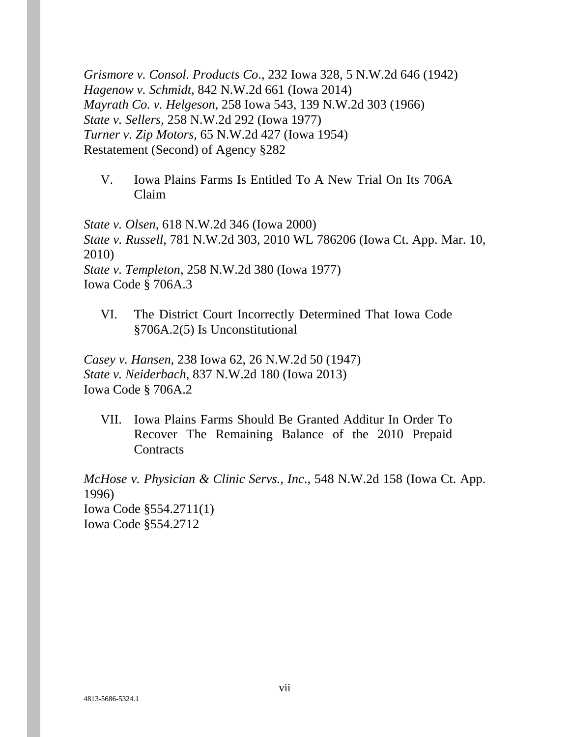*Grismore v. Consol. Products Co*., 232 Iowa 328, 5 N.W.2d 646 (1942) *Hagenow v. Schmidt*, 842 N.W.2d 661 (Iowa 2014) *Mayrath Co. v. Helgeson*, 258 Iowa 543, 139 N.W.2d 303 (1966) *State v. Sellers*, 258 N.W.2d 292 (Iowa 1977) *Turner v. Zip Motors*, 65 N.W.2d 427 (Iowa 1954) Restatement (Second) of Agency §282

V. Iowa Plains Farms Is Entitled To A New Trial On Its 706A Claim

*State v. Olsen*, 618 N.W.2d 346 (Iowa 2000) *State v. Russell*, 781 N.W.2d 303, 2010 WL 786206 (Iowa Ct. App. Mar. 10, 2010) *State v. Templeton*, 258 N.W.2d 380 (Iowa 1977) Iowa Code § 706A.3

VI. The District Court Incorrectly Determined That Iowa Code §706A.2(5) Is Unconstitutional

*Casey v. Hansen*, 238 Iowa 62, 26 N.W.2d 50 (1947) *State v. Neiderbach*, 837 N.W.2d 180 (Iowa 2013) Iowa Code § 706A.2

VII. Iowa Plains Farms Should Be Granted Additur In Order To Recover The Remaining Balance of the 2010 Prepaid **Contracts** 

*McHose v. Physician & Clinic Servs., Inc*., 548 N.W.2d 158 (Iowa Ct. App. 1996)

Iowa Code §554.2711(1) Iowa Code §554.2712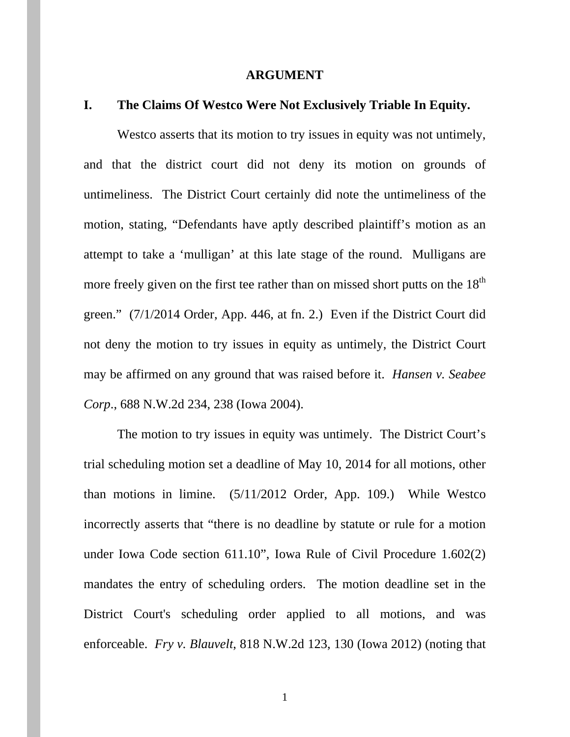#### **ARGUMENT**

#### **I. The Claims Of Westco Were Not Exclusively Triable In Equity.**

Westco asserts that its motion to try issues in equity was not untimely, and that the district court did not deny its motion on grounds of untimeliness. The District Court certainly did note the untimeliness of the motion, stating, "Defendants have aptly described plaintiff's motion as an attempt to take a 'mulligan' at this late stage of the round. Mulligans are more freely given on the first tee rather than on missed short putts on the  $18<sup>th</sup>$ green." (7/1/2014 Order, App. 446, at fn. 2.) Even if the District Court did not deny the motion to try issues in equity as untimely, the District Court may be affirmed on any ground that was raised before it. *Hansen v. Seabee Corp*., 688 N.W.2d 234, 238 (Iowa 2004).

The motion to try issues in equity was untimely. The District Court's trial scheduling motion set a deadline of May 10, 2014 for all motions, other than motions in limine. (5/11/2012 Order, App. 109.) While Westco incorrectly asserts that "there is no deadline by statute or rule for a motion under Iowa Code section 611.10", Iowa Rule of Civil Procedure 1.602(2) mandates the entry of scheduling orders. The motion deadline set in the District Court's scheduling order applied to all motions, and was enforceable. *Fry v. Blauvelt*, 818 N.W.2d 123, 130 (Iowa 2012) (noting that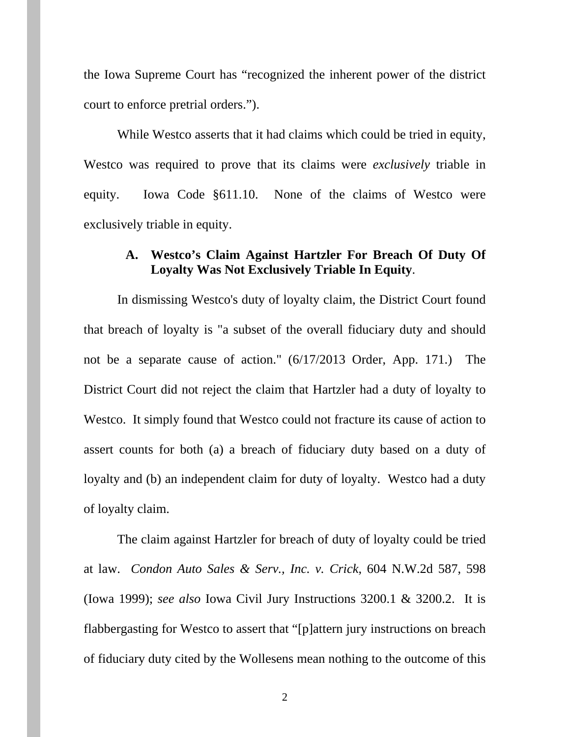the Iowa Supreme Court has "recognized the inherent power of the district court to enforce pretrial orders.").

While Westco asserts that it had claims which could be tried in equity, Westco was required to prove that its claims were *exclusively* triable in equity. Iowa Code §611.10. None of the claims of Westco were exclusively triable in equity.

#### **A. Westco's Claim Against Hartzler For Breach Of Duty Of Loyalty Was Not Exclusively Triable In Equity**.

In dismissing Westco's duty of loyalty claim, the District Court found that breach of loyalty is "a subset of the overall fiduciary duty and should not be a separate cause of action." (6/17/2013 Order, App. 171.) The District Court did not reject the claim that Hartzler had a duty of loyalty to Westco. It simply found that Westco could not fracture its cause of action to assert counts for both (a) a breach of fiduciary duty based on a duty of loyalty and (b) an independent claim for duty of loyalty. Westco had a duty of loyalty claim.

The claim against Hartzler for breach of duty of loyalty could be tried at law. *Condon Auto Sales & Serv., Inc. v. Crick*, 604 N.W.2d 587, 598 (Iowa 1999); *see also* Iowa Civil Jury Instructions 3200.1 & 3200.2. It is flabbergasting for Westco to assert that "[p]attern jury instructions on breach of fiduciary duty cited by the Wollesens mean nothing to the outcome of this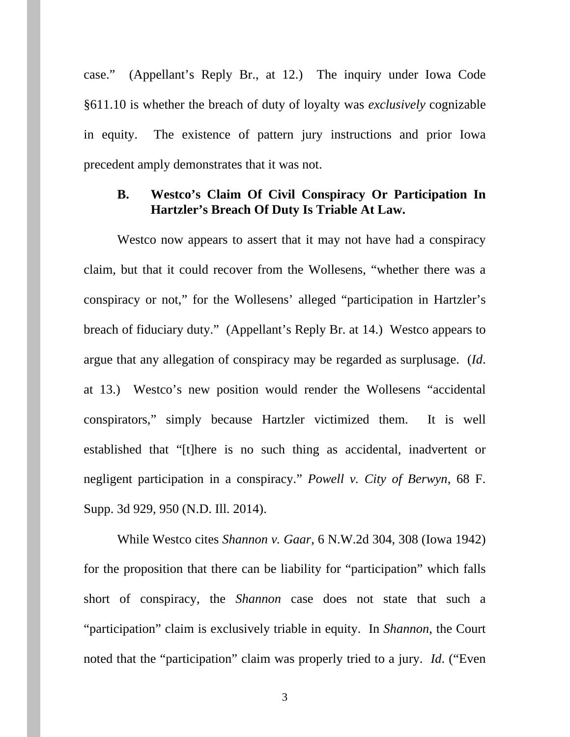case." (Appellant's Reply Br., at 12.) The inquiry under Iowa Code §611.10 is whether the breach of duty of loyalty was *exclusively* cognizable in equity. The existence of pattern jury instructions and prior Iowa precedent amply demonstrates that it was not.

## **B. Westco's Claim Of Civil Conspiracy Or Participation In Hartzler's Breach Of Duty Is Triable At Law.**

Westco now appears to assert that it may not have had a conspiracy claim, but that it could recover from the Wollesens, "whether there was a conspiracy or not," for the Wollesens' alleged "participation in Hartzler's breach of fiduciary duty." (Appellant's Reply Br. at 14.) Westco appears to argue that any allegation of conspiracy may be regarded as surplusage. (*Id*. at 13.) Westco's new position would render the Wollesens "accidental conspirators," simply because Hartzler victimized them. It is well established that "[t]here is no such thing as accidental, inadvertent or negligent participation in a conspiracy." *Powell v. City of Berwyn*, 68 F. Supp. 3d 929, 950 (N.D. Ill. 2014).

While Westco cites *Shannon v. Gaar*, 6 N.W.2d 304, 308 (Iowa 1942) for the proposition that there can be liability for "participation" which falls short of conspiracy, the *Shannon* case does not state that such a "participation" claim is exclusively triable in equity. In *Shannon*, the Court noted that the "participation" claim was properly tried to a jury. *Id*. ("Even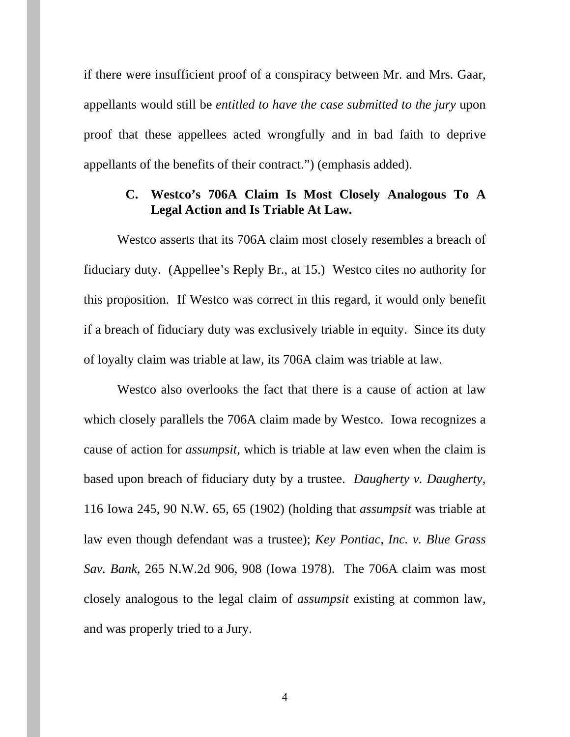if there were insufficient proof of a conspiracy between Mr. and Mrs. Gaar, appellants would still be *entitled to have the case submitted to the jury* upon proof that these appellees acted wrongfully and in bad faith to deprive appellants of the benefits of their contract.") (emphasis added).

## **C. Westco's 706A Claim Is Most Closely Analogous To A Legal Action and Is Triable At Law.**

Westco asserts that its 706A claim most closely resembles a breach of fiduciary duty. (Appellee's Reply Br., at 15.) Westco cites no authority for this proposition. If Westco was correct in this regard, it would only benefit if a breach of fiduciary duty was exclusively triable in equity. Since its duty of loyalty claim was triable at law, its 706A claim was triable at law.

Westco also overlooks the fact that there is a cause of action at law which closely parallels the 706A claim made by Westco. Iowa recognizes a cause of action for *assumpsit*, which is triable at law even when the claim is based upon breach of fiduciary duty by a trustee. *Daugherty v. Daugherty*, 116 Iowa 245, 90 N.W. 65, 65 (1902) (holding that *assumpsit* was triable at law even though defendant was a trustee); *Key Pontiac, Inc. v. Blue Grass Sav. Bank*, 265 N.W.2d 906, 908 (Iowa 1978). The 706A claim was most closely analogous to the legal claim of *assumpsit* existing at common law, and was properly tried to a Jury.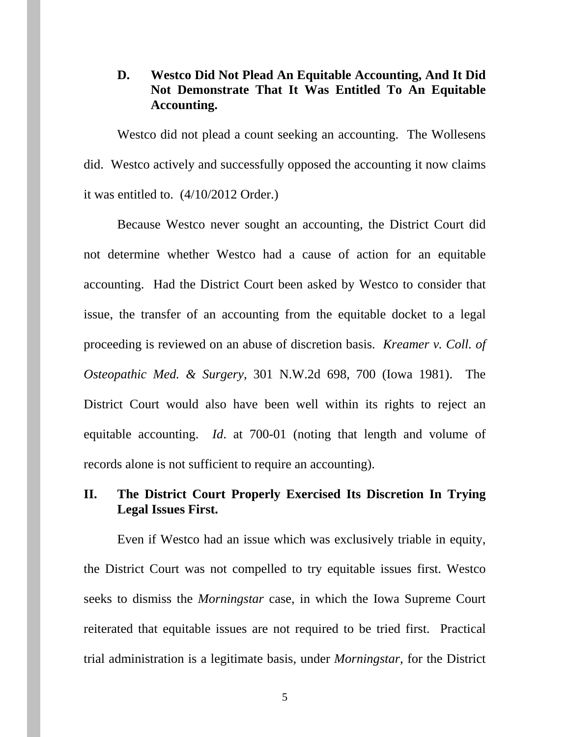## **D. Westco Did Not Plead An Equitable Accounting, And It Did Not Demonstrate That It Was Entitled To An Equitable Accounting.**

Westco did not plead a count seeking an accounting. The Wollesens did. Westco actively and successfully opposed the accounting it now claims it was entitled to. (4/10/2012 Order.)

Because Westco never sought an accounting, the District Court did not determine whether Westco had a cause of action for an equitable accounting. Had the District Court been asked by Westco to consider that issue, the transfer of an accounting from the equitable docket to a legal proceeding is reviewed on an abuse of discretion basis. *Kreamer v. Coll. of Osteopathic Med. & Surgery*, 301 N.W.2d 698, 700 (Iowa 1981). The District Court would also have been well within its rights to reject an equitable accounting. *Id*. at 700-01 (noting that length and volume of records alone is not sufficient to require an accounting).

## **II. The District Court Properly Exercised Its Discretion In Trying Legal Issues First.**

Even if Westco had an issue which was exclusively triable in equity, the District Court was not compelled to try equitable issues first. Westco seeks to dismiss the *Morningstar* case, in which the Iowa Supreme Court reiterated that equitable issues are not required to be tried first. Practical trial administration is a legitimate basis, under *Morningstar*, for the District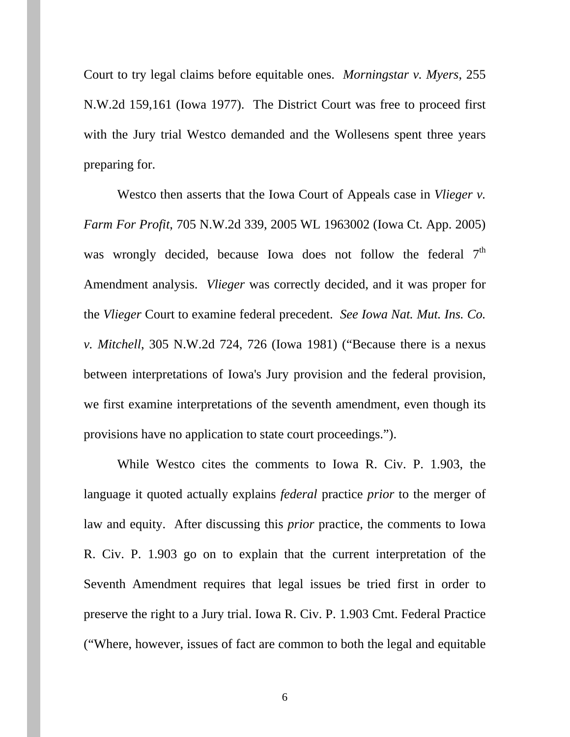Court to try legal claims before equitable ones. *Morningstar v. Myers*, 255 N.W.2d 159,161 (Iowa 1977). The District Court was free to proceed first with the Jury trial Westco demanded and the Wollesens spent three years preparing for.

Westco then asserts that the Iowa Court of Appeals case in *Vlieger v. Farm For Profit*, 705 N.W.2d 339, 2005 WL 1963002 (Iowa Ct. App. 2005) was wrongly decided, because Iowa does not follow the federal  $7<sup>th</sup>$ Amendment analysis. *Vlieger* was correctly decided, and it was proper for the *Vlieger* Court to examine federal precedent. *See Iowa Nat. Mut. Ins. Co. v. Mitchell*, 305 N.W.2d 724, 726 (Iowa 1981) ("Because there is a nexus between interpretations of Iowa's Jury provision and the federal provision, we first examine interpretations of the seventh amendment, even though its provisions have no application to state court proceedings.").

While Westco cites the comments to Iowa R. Civ. P. 1.903, the language it quoted actually explains *federal* practice *prior* to the merger of law and equity. After discussing this *prior* practice, the comments to Iowa R. Civ. P. 1.903 go on to explain that the current interpretation of the Seventh Amendment requires that legal issues be tried first in order to preserve the right to a Jury trial. Iowa R. Civ. P. 1.903 Cmt. Federal Practice ("Where, however, issues of fact are common to both the legal and equitable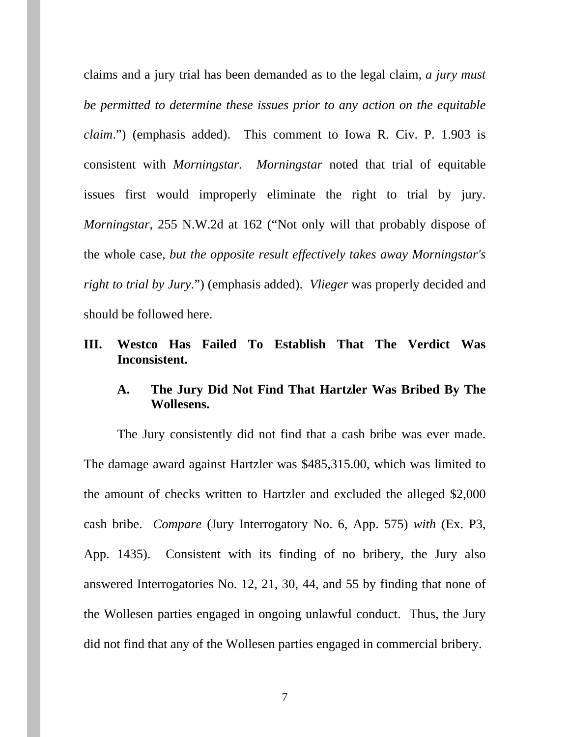claims and a jury trial has been demanded as to the legal claim, *a jury must be permitted to determine these issues prior to any action on the equitable claim*.") (emphasis added). This comment to Iowa R. Civ. P. 1.903 is consistent with *Morningstar. Morningstar* noted that trial of equitable issues first would improperly eliminate the right to trial by jury. *Morningstar*, 255 N.W.2d at 162 ("Not only will that probably dispose of the whole case, *but the opposite result effectively takes away Morningstar's right to trial by Jury*.") (emphasis added). *Vlieger* was properly decided and should be followed here.

## **III. Westco Has Failed To Establish That The Verdict Was Inconsistent.**

## **A. The Jury Did Not Find That Hartzler Was Bribed By The Wollesens.**

The Jury consistently did not find that a cash bribe was ever made. The damage award against Hartzler was \$485,315.00, which was limited to the amount of checks written to Hartzler and excluded the alleged \$2,000 cash bribe. *Compare* (Jury Interrogatory No. 6, App. 575) *with* (Ex. P3, App. 1435). Consistent with its finding of no bribery, the Jury also answered Interrogatories No. 12, 21, 30, 44, and 55 by finding that none of the Wollesen parties engaged in ongoing unlawful conduct. Thus, the Jury did not find that any of the Wollesen parties engaged in commercial bribery.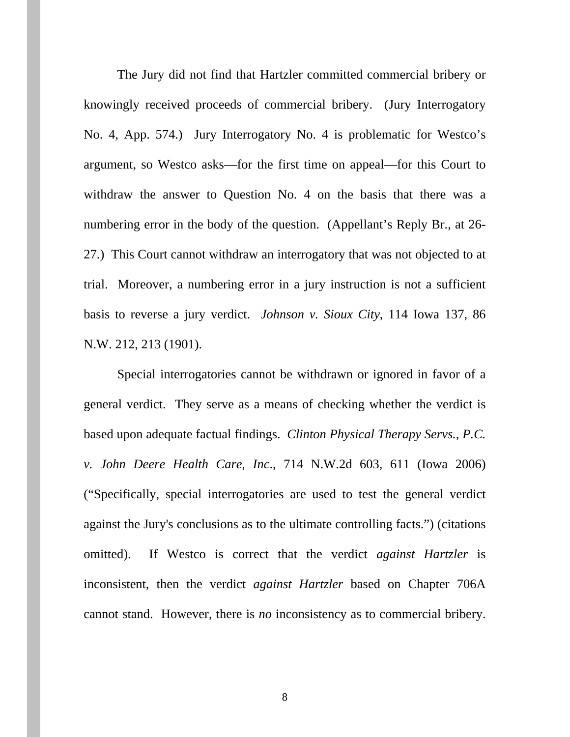The Jury did not find that Hartzler committed commercial bribery or knowingly received proceeds of commercial bribery. (Jury Interrogatory No. 4, App. 574.) Jury Interrogatory No. 4 is problematic for Westco's argument, so Westco asks—for the first time on appeal—for this Court to withdraw the answer to Question No. 4 on the basis that there was a numbering error in the body of the question. (Appellant's Reply Br., at 26- 27.) This Court cannot withdraw an interrogatory that was not objected to at trial. Moreover, a numbering error in a jury instruction is not a sufficient basis to reverse a jury verdict. *Johnson v. Sioux City*, 114 Iowa 137, 86 N.W. 212, 213 (1901).

Special interrogatories cannot be withdrawn or ignored in favor of a general verdict. They serve as a means of checking whether the verdict is based upon adequate factual findings. *Clinton Physical Therapy Servs., P.C. v. John Deere Health Care, Inc*., 714 N.W.2d 603, 611 (Iowa 2006) ("Specifically, special interrogatories are used to test the general verdict against the Jury's conclusions as to the ultimate controlling facts.") (citations omitted). If Westco is correct that the verdict *against Hartzler* is inconsistent, then the verdict *against Hartzler* based on Chapter 706A cannot stand. However, there is *no* inconsistency as to commercial bribery.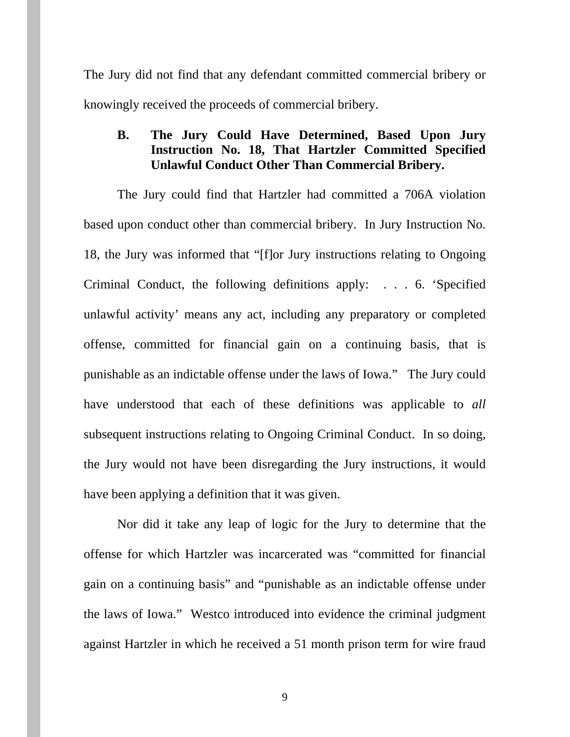The Jury did not find that any defendant committed commercial bribery or knowingly received the proceeds of commercial bribery.

## **B. The Jury Could Have Determined, Based Upon Jury Instruction No. 18, That Hartzler Committed Specified Unlawful Conduct Other Than Commercial Bribery.**

The Jury could find that Hartzler had committed a 706A violation based upon conduct other than commercial bribery. In Jury Instruction No. 18, the Jury was informed that "[f]or Jury instructions relating to Ongoing Criminal Conduct, the following definitions apply: . . . 6. 'Specified unlawful activity' means any act, including any preparatory or completed offense, committed for financial gain on a continuing basis, that is punishable as an indictable offense under the laws of Iowa." The Jury could have understood that each of these definitions was applicable to *all* subsequent instructions relating to Ongoing Criminal Conduct. In so doing, the Jury would not have been disregarding the Jury instructions, it would have been applying a definition that it was given.

Nor did it take any leap of logic for the Jury to determine that the offense for which Hartzler was incarcerated was "committed for financial gain on a continuing basis" and "punishable as an indictable offense under the laws of Iowa." Westco introduced into evidence the criminal judgment against Hartzler in which he received a 51 month prison term for wire fraud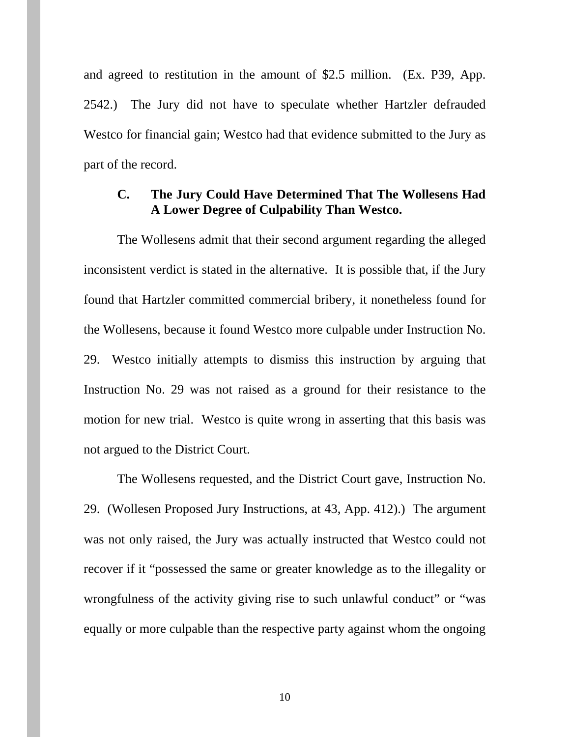and agreed to restitution in the amount of \$2.5 million. (Ex. P39, App. 2542.) The Jury did not have to speculate whether Hartzler defrauded Westco for financial gain; Westco had that evidence submitted to the Jury as part of the record.

## **C. The Jury Could Have Determined That The Wollesens Had A Lower Degree of Culpability Than Westco.**

 The Wollesens admit that their second argument regarding the alleged inconsistent verdict is stated in the alternative. It is possible that, if the Jury found that Hartzler committed commercial bribery, it nonetheless found for the Wollesens, because it found Westco more culpable under Instruction No. 29. Westco initially attempts to dismiss this instruction by arguing that Instruction No. 29 was not raised as a ground for their resistance to the motion for new trial. Westco is quite wrong in asserting that this basis was not argued to the District Court.

The Wollesens requested, and the District Court gave, Instruction No. 29. (Wollesen Proposed Jury Instructions, at 43, App. 412).) The argument was not only raised, the Jury was actually instructed that Westco could not recover if it "possessed the same or greater knowledge as to the illegality or wrongfulness of the activity giving rise to such unlawful conduct" or "was equally or more culpable than the respective party against whom the ongoing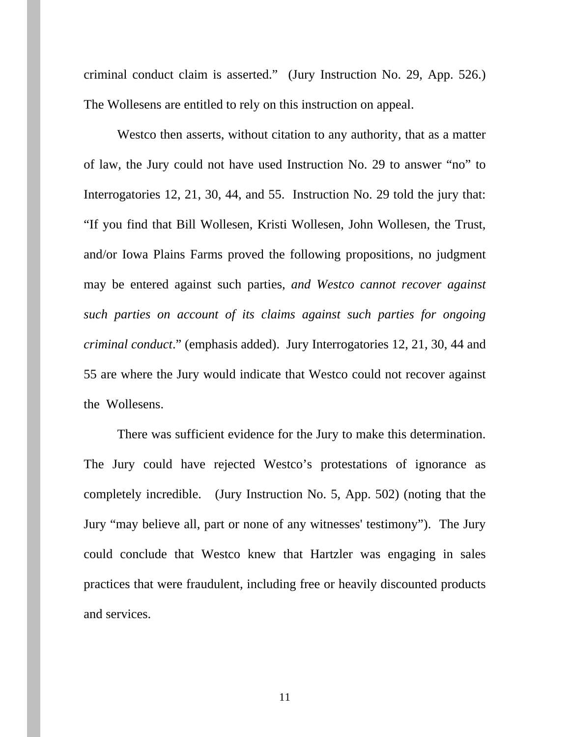criminal conduct claim is asserted." (Jury Instruction No. 29, App. 526.) The Wollesens are entitled to rely on this instruction on appeal.

Westco then asserts, without citation to any authority, that as a matter of law, the Jury could not have used Instruction No. 29 to answer "no" to Interrogatories 12, 21, 30, 44, and 55. Instruction No. 29 told the jury that: "If you find that Bill Wollesen, Kristi Wollesen, John Wollesen, the Trust, and/or Iowa Plains Farms proved the following propositions, no judgment may be entered against such parties, *and Westco cannot recover against such parties on account of its claims against such parties for ongoing criminal conduct*." (emphasis added). Jury Interrogatories 12, 21, 30, 44 and 55 are where the Jury would indicate that Westco could not recover against the Wollesens.

There was sufficient evidence for the Jury to make this determination. The Jury could have rejected Westco's protestations of ignorance as completely incredible. (Jury Instruction No. 5, App. 502) (noting that the Jury "may believe all, part or none of any witnesses' testimony"). The Jury could conclude that Westco knew that Hartzler was engaging in sales practices that were fraudulent, including free or heavily discounted products and services.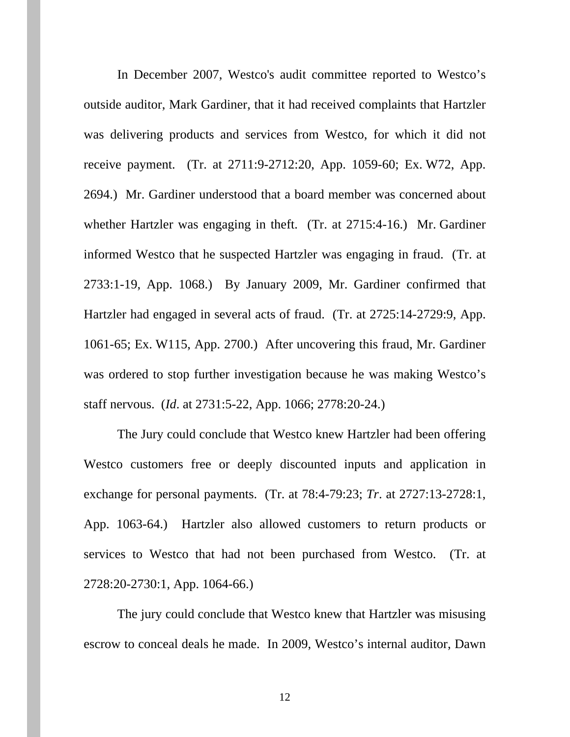In December 2007, Westco's audit committee reported to Westco's outside auditor, Mark Gardiner, that it had received complaints that Hartzler was delivering products and services from Westco, for which it did not receive payment. (Tr. at 2711:9-2712:20, App. 1059-60; Ex. W72, App. 2694.) Mr. Gardiner understood that a board member was concerned about whether Hartzler was engaging in theft. (Tr. at 2715:4-16.) Mr. Gardiner informed Westco that he suspected Hartzler was engaging in fraud. (Tr. at 2733:1-19, App. 1068.) By January 2009, Mr. Gardiner confirmed that Hartzler had engaged in several acts of fraud. (Tr. at 2725:14-2729:9, App. 1061-65; Ex. W115, App. 2700.) After uncovering this fraud, Mr. Gardiner was ordered to stop further investigation because he was making Westco's staff nervous. (*Id*. at 2731:5-22, App. 1066; 2778:20-24.)

The Jury could conclude that Westco knew Hartzler had been offering Westco customers free or deeply discounted inputs and application in exchange for personal payments. (Tr. at 78:4-79:23; *Tr*. at 2727:13-2728:1, App. 1063-64.) Hartzler also allowed customers to return products or services to Westco that had not been purchased from Westco. (Tr. at 2728:20-2730:1, App. 1064-66.)

The jury could conclude that Westco knew that Hartzler was misusing escrow to conceal deals he made. In 2009, Westco's internal auditor, Dawn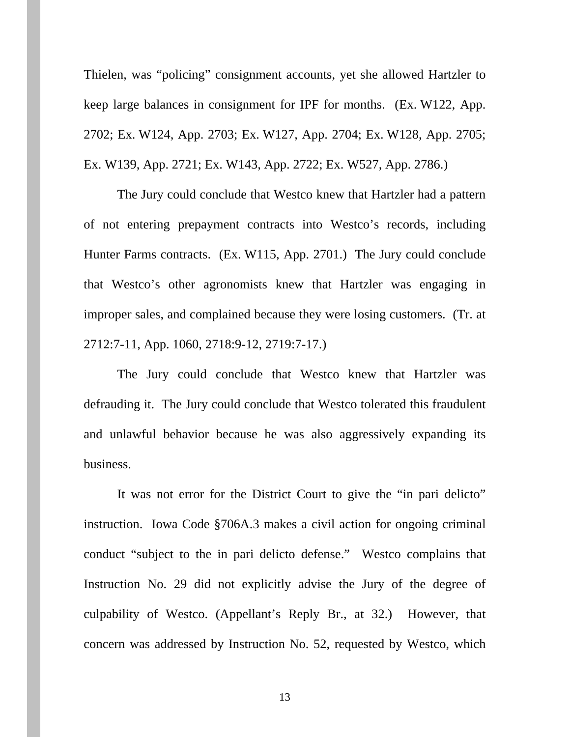Thielen, was "policing" consignment accounts, yet she allowed Hartzler to keep large balances in consignment for IPF for months. (Ex. W122, App. 2702; Ex. W124, App. 2703; Ex. W127, App. 2704; Ex. W128, App. 2705; Ex. W139, App. 2721; Ex. W143, App. 2722; Ex. W527, App. 2786.)

The Jury could conclude that Westco knew that Hartzler had a pattern of not entering prepayment contracts into Westco's records, including Hunter Farms contracts. (Ex. W115, App. 2701.) The Jury could conclude that Westco's other agronomists knew that Hartzler was engaging in improper sales, and complained because they were losing customers. (Tr. at 2712:7-11, App. 1060, 2718:9-12, 2719:7-17.)

The Jury could conclude that Westco knew that Hartzler was defrauding it. The Jury could conclude that Westco tolerated this fraudulent and unlawful behavior because he was also aggressively expanding its business.

It was not error for the District Court to give the "in pari delicto" instruction. Iowa Code §706A.3 makes a civil action for ongoing criminal conduct "subject to the in pari delicto defense." Westco complains that Instruction No. 29 did not explicitly advise the Jury of the degree of culpability of Westco. (Appellant's Reply Br., at 32.) However, that concern was addressed by Instruction No. 52, requested by Westco, which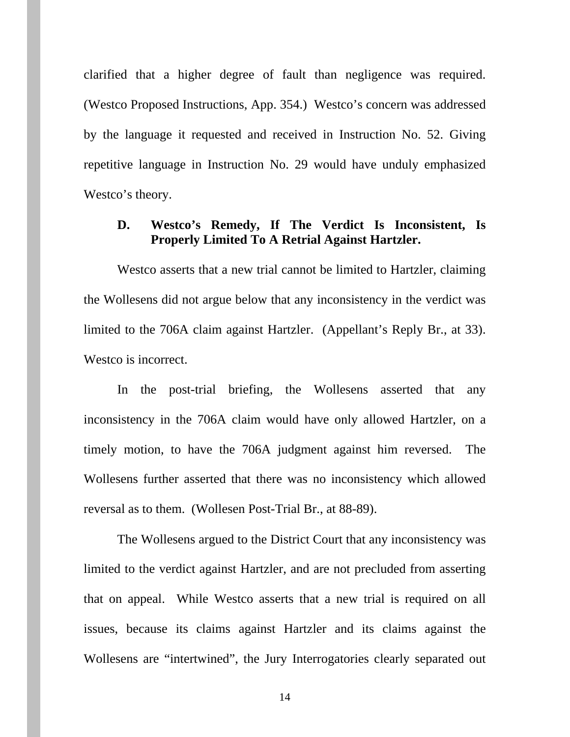clarified that a higher degree of fault than negligence was required. (Westco Proposed Instructions, App. 354.) Westco's concern was addressed by the language it requested and received in Instruction No. 52. Giving repetitive language in Instruction No. 29 would have unduly emphasized Westco's theory.

#### **D. Westco's Remedy, If The Verdict Is Inconsistent, Is Properly Limited To A Retrial Against Hartzler.**

Westco asserts that a new trial cannot be limited to Hartzler, claiming the Wollesens did not argue below that any inconsistency in the verdict was limited to the 706A claim against Hartzler. (Appellant's Reply Br., at 33). Westco is incorrect.

In the post-trial briefing, the Wollesens asserted that any inconsistency in the 706A claim would have only allowed Hartzler, on a timely motion, to have the 706A judgment against him reversed. The Wollesens further asserted that there was no inconsistency which allowed reversal as to them. (Wollesen Post-Trial Br., at 88-89).

The Wollesens argued to the District Court that any inconsistency was limited to the verdict against Hartzler, and are not precluded from asserting that on appeal. While Westco asserts that a new trial is required on all issues, because its claims against Hartzler and its claims against the Wollesens are "intertwined", the Jury Interrogatories clearly separated out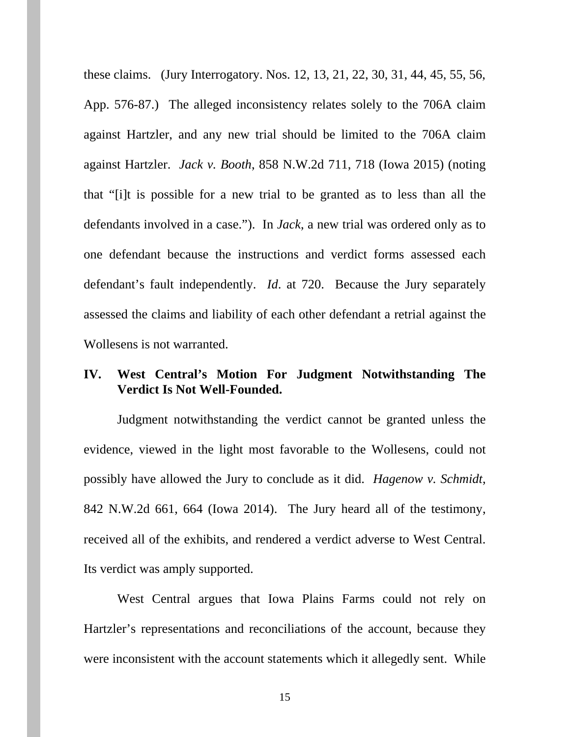these claims. (Jury Interrogatory. Nos. 12, 13, 21, 22, 30, 31, 44, 45, 55, 56, App. 576-87.) The alleged inconsistency relates solely to the 706A claim against Hartzler, and any new trial should be limited to the 706A claim against Hartzler. *Jack v. Booth*, 858 N.W.2d 711, 718 (Iowa 2015) (noting that "[i]t is possible for a new trial to be granted as to less than all the defendants involved in a case."). In *Jack*, a new trial was ordered only as to one defendant because the instructions and verdict forms assessed each defendant's fault independently. *Id*. at 720. Because the Jury separately assessed the claims and liability of each other defendant a retrial against the Wollesens is not warranted.

## **IV. West Central's Motion For Judgment Notwithstanding The Verdict Is Not Well-Founded.**

Judgment notwithstanding the verdict cannot be granted unless the evidence, viewed in the light most favorable to the Wollesens, could not possibly have allowed the Jury to conclude as it did. *Hagenow v. Schmidt*, 842 N.W.2d 661, 664 (Iowa 2014). The Jury heard all of the testimony, received all of the exhibits, and rendered a verdict adverse to West Central. Its verdict was amply supported.

West Central argues that Iowa Plains Farms could not rely on Hartzler's representations and reconciliations of the account, because they were inconsistent with the account statements which it allegedly sent. While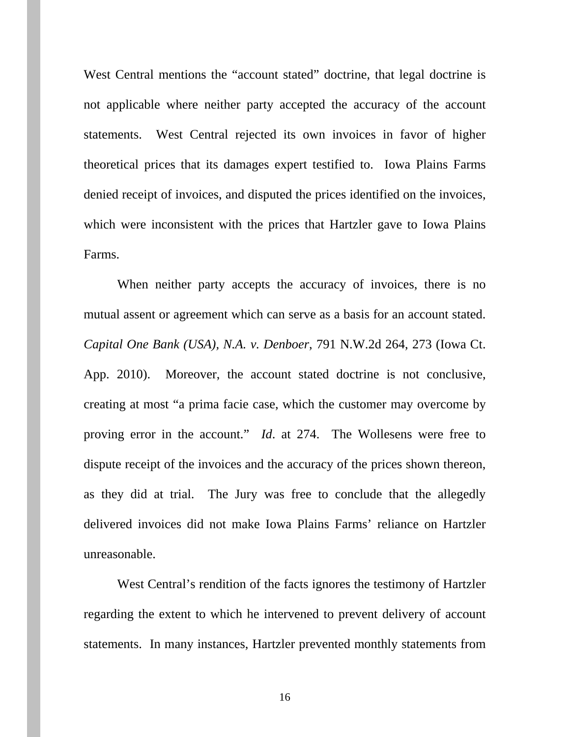West Central mentions the "account stated" doctrine, that legal doctrine is not applicable where neither party accepted the accuracy of the account statements. West Central rejected its own invoices in favor of higher theoretical prices that its damages expert testified to. Iowa Plains Farms denied receipt of invoices, and disputed the prices identified on the invoices, which were inconsistent with the prices that Hartzler gave to Iowa Plains Farms.

When neither party accepts the accuracy of invoices, there is no mutual assent or agreement which can serve as a basis for an account stated. *Capital One Bank (USA), N.A. v. Denboer*, 791 N.W.2d 264, 273 (Iowa Ct. App. 2010). Moreover, the account stated doctrine is not conclusive, creating at most "a prima facie case, which the customer may overcome by proving error in the account." *Id*. at 274. The Wollesens were free to dispute receipt of the invoices and the accuracy of the prices shown thereon, as they did at trial. The Jury was free to conclude that the allegedly delivered invoices did not make Iowa Plains Farms' reliance on Hartzler unreasonable.

West Central's rendition of the facts ignores the testimony of Hartzler regarding the extent to which he intervened to prevent delivery of account statements. In many instances, Hartzler prevented monthly statements from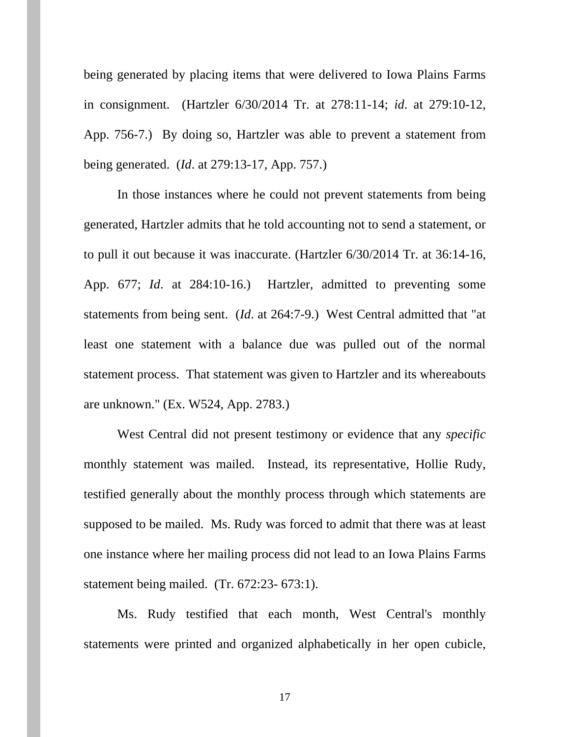being generated by placing items that were delivered to Iowa Plains Farms in consignment. (Hartzler 6/30/2014 Tr. at 278:11-14; *id*. at 279:10-12, App. 756-7.) By doing so, Hartzler was able to prevent a statement from being generated. (*Id*. at 279:13-17, App. 757.)

In those instances where he could not prevent statements from being generated, Hartzler admits that he told accounting not to send a statement, or to pull it out because it was inaccurate. (Hartzler 6/30/2014 Tr. at 36:14-16, App. 677; *Id*. at 284:10-16.) Hartzler, admitted to preventing some statements from being sent. (*Id*. at 264:7-9.) West Central admitted that "at least one statement with a balance due was pulled out of the normal statement process. That statement was given to Hartzler and its whereabouts are unknown." (Ex. W524, App. 2783.)

West Central did not present testimony or evidence that any *specific* monthly statement was mailed. Instead, its representative, Hollie Rudy, testified generally about the monthly process through which statements are supposed to be mailed. Ms. Rudy was forced to admit that there was at least one instance where her mailing process did not lead to an Iowa Plains Farms statement being mailed. (Tr. 672:23- 673:1).

Ms. Rudy testified that each month, West Central's monthly statements were printed and organized alphabetically in her open cubicle,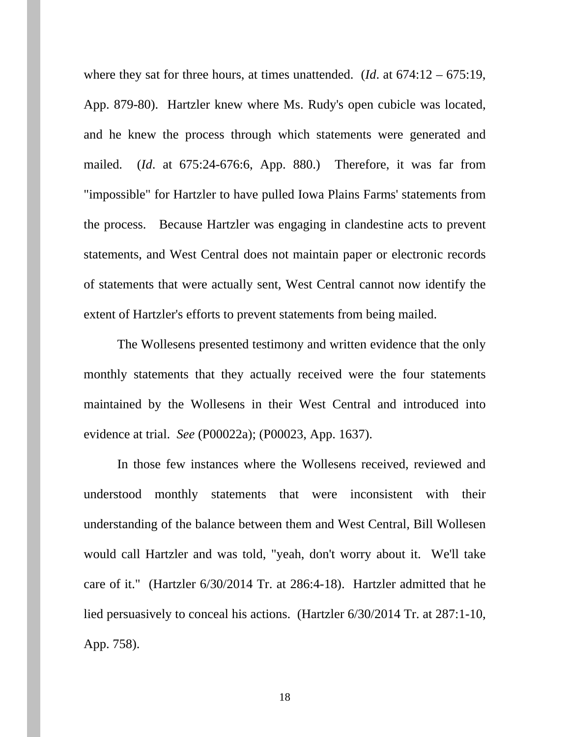where they sat for three hours, at times unattended. (*Id*. at 674:12 – 675:19, App. 879-80). Hartzler knew where Ms. Rudy's open cubicle was located, and he knew the process through which statements were generated and mailed. (*Id*. at 675:24-676:6, App. 880.) Therefore, it was far from "impossible" for Hartzler to have pulled Iowa Plains Farms' statements from the process. Because Hartzler was engaging in clandestine acts to prevent statements, and West Central does not maintain paper or electronic records of statements that were actually sent, West Central cannot now identify the extent of Hartzler's efforts to prevent statements from being mailed.

The Wollesens presented testimony and written evidence that the only monthly statements that they actually received were the four statements maintained by the Wollesens in their West Central and introduced into evidence at trial. *See* (P00022a); (P00023, App. 1637).

In those few instances where the Wollesens received, reviewed and understood monthly statements that were inconsistent with their understanding of the balance between them and West Central, Bill Wollesen would call Hartzler and was told, "yeah, don't worry about it. We'll take care of it." (Hartzler 6/30/2014 Tr. at 286:4-18). Hartzler admitted that he lied persuasively to conceal his actions. (Hartzler 6/30/2014 Tr. at 287:1-10, App. 758).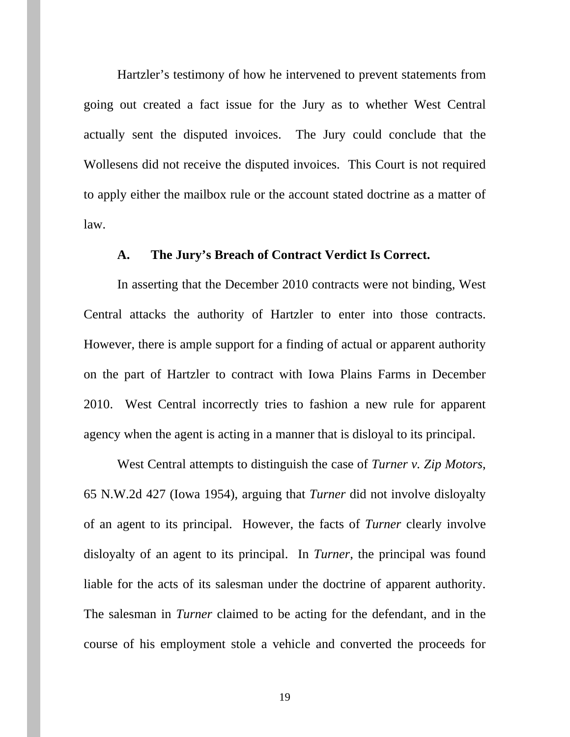Hartzler's testimony of how he intervened to prevent statements from going out created a fact issue for the Jury as to whether West Central actually sent the disputed invoices. The Jury could conclude that the Wollesens did not receive the disputed invoices. This Court is not required to apply either the mailbox rule or the account stated doctrine as a matter of law.

#### **A. The Jury's Breach of Contract Verdict Is Correct.**

In asserting that the December 2010 contracts were not binding, West Central attacks the authority of Hartzler to enter into those contracts. However, there is ample support for a finding of actual or apparent authority on the part of Hartzler to contract with Iowa Plains Farms in December 2010. West Central incorrectly tries to fashion a new rule for apparent agency when the agent is acting in a manner that is disloyal to its principal.

West Central attempts to distinguish the case of *Turner v. Zip Motors*, 65 N.W.2d 427 (Iowa 1954), arguing that *Turner* did not involve disloyalty of an agent to its principal. However, the facts of *Turner* clearly involve disloyalty of an agent to its principal. In *Turner*, the principal was found liable for the acts of its salesman under the doctrine of apparent authority. The salesman in *Turner* claimed to be acting for the defendant, and in the course of his employment stole a vehicle and converted the proceeds for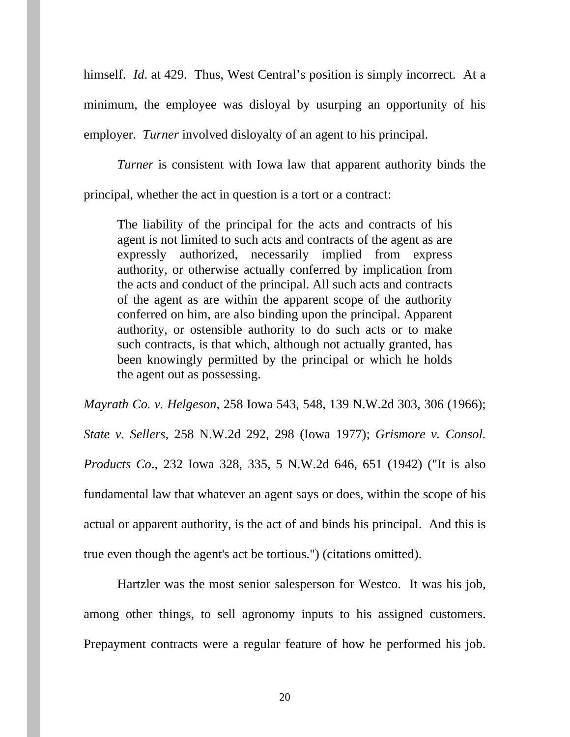himself. *Id*. at 429. Thus, West Central's position is simply incorrect. At a minimum, the employee was disloyal by usurping an opportunity of his employer. *Turner* involved disloyalty of an agent to his principal.

*Turner* is consistent with Iowa law that apparent authority binds the

principal, whether the act in question is a tort or a contract:

The liability of the principal for the acts and contracts of his agent is not limited to such acts and contracts of the agent as are expressly authorized, necessarily implied from express authority, or otherwise actually conferred by implication from the acts and conduct of the principal. All such acts and contracts of the agent as are within the apparent scope of the authority conferred on him, are also binding upon the principal. Apparent authority, or ostensible authority to do such acts or to make such contracts, is that which, although not actually granted, has been knowingly permitted by the principal or which he holds the agent out as possessing.

*Mayrath Co. v. Helgeson*, 258 Iowa 543, 548, 139 N.W.2d 303, 306 (1966); *State v. Sellers*, 258 N.W.2d 292, 298 (Iowa 1977); *Grismore v. Consol. Products Co*., 232 Iowa 328, 335, 5 N.W.2d 646, 651 (1942) ("It is also fundamental law that whatever an agent says or does, within the scope of his actual or apparent authority, is the act of and binds his principal. And this is true even though the agent's act be tortious.") (citations omitted).

Hartzler was the most senior salesperson for Westco. It was his job, among other things, to sell agronomy inputs to his assigned customers. Prepayment contracts were a regular feature of how he performed his job.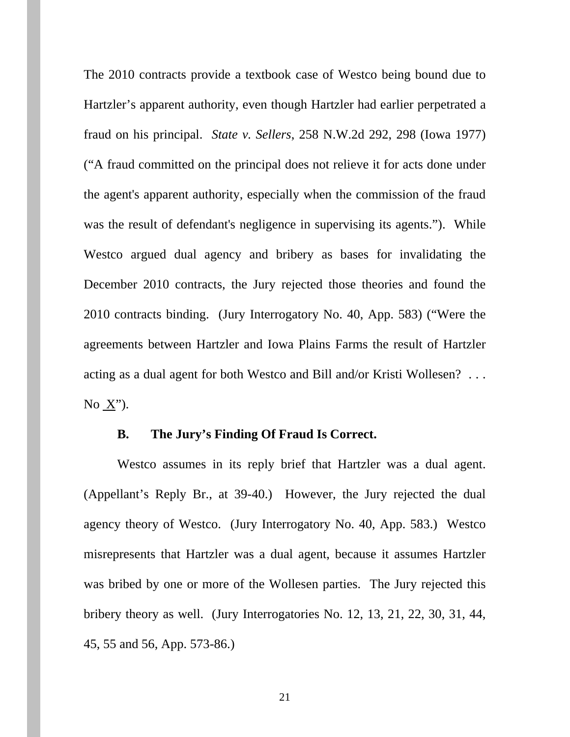The 2010 contracts provide a textbook case of Westco being bound due to Hartzler's apparent authority, even though Hartzler had earlier perpetrated a fraud on his principal. *State v. Sellers*, 258 N.W.2d 292, 298 (Iowa 1977) ("A fraud committed on the principal does not relieve it for acts done under the agent's apparent authority, especially when the commission of the fraud was the result of defendant's negligence in supervising its agents."). While Westco argued dual agency and bribery as bases for invalidating the December 2010 contracts, the Jury rejected those theories and found the 2010 contracts binding. (Jury Interrogatory No. 40, App. 583) ("Were the agreements between Hartzler and Iowa Plains Farms the result of Hartzler acting as a dual agent for both Westco and Bill and/or Kristi Wollesen? . . . No X").

#### **B. The Jury's Finding Of Fraud Is Correct.**

Westco assumes in its reply brief that Hartzler was a dual agent. (Appellant's Reply Br., at 39-40.) However, the Jury rejected the dual agency theory of Westco. (Jury Interrogatory No. 40, App. 583.) Westco misrepresents that Hartzler was a dual agent, because it assumes Hartzler was bribed by one or more of the Wollesen parties. The Jury rejected this bribery theory as well. (Jury Interrogatories No. 12, 13, 21, 22, 30, 31, 44, 45, 55 and 56, App. 573-86.)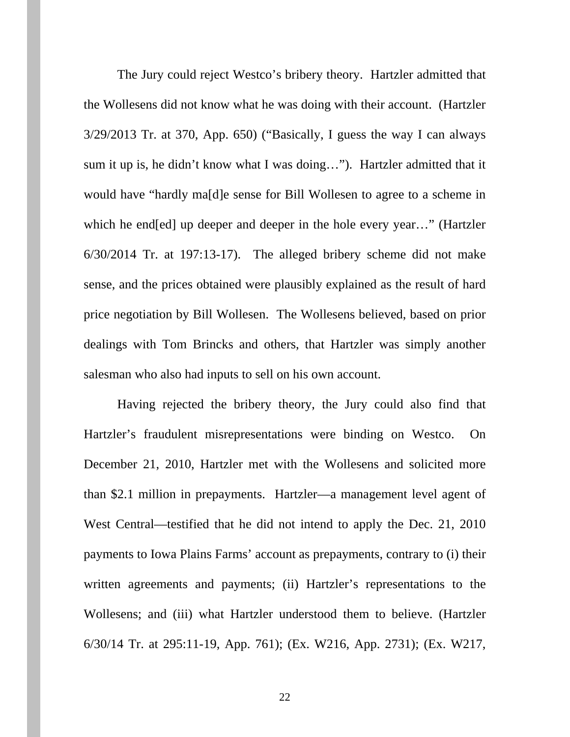The Jury could reject Westco's bribery theory. Hartzler admitted that the Wollesens did not know what he was doing with their account. (Hartzler 3/29/2013 Tr. at 370, App. 650) ("Basically, I guess the way I can always sum it up is, he didn't know what I was doing…"). Hartzler admitted that it would have "hardly ma[d]e sense for Bill Wollesen to agree to a scheme in which he end[ed] up deeper and deeper in the hole every year…" (Hartzler 6/30/2014 Tr. at 197:13-17). The alleged bribery scheme did not make sense, and the prices obtained were plausibly explained as the result of hard price negotiation by Bill Wollesen. The Wollesens believed, based on prior dealings with Tom Brincks and others, that Hartzler was simply another salesman who also had inputs to sell on his own account.

Having rejected the bribery theory, the Jury could also find that Hartzler's fraudulent misrepresentations were binding on Westco. On December 21, 2010, Hartzler met with the Wollesens and solicited more than \$2.1 million in prepayments. Hartzler—a management level agent of West Central—testified that he did not intend to apply the Dec. 21, 2010 payments to Iowa Plains Farms' account as prepayments, contrary to (i) their written agreements and payments; (ii) Hartzler's representations to the Wollesens; and (iii) what Hartzler understood them to believe. (Hartzler 6/30/14 Tr. at 295:11-19, App. 761); (Ex. W216, App. 2731); (Ex. W217,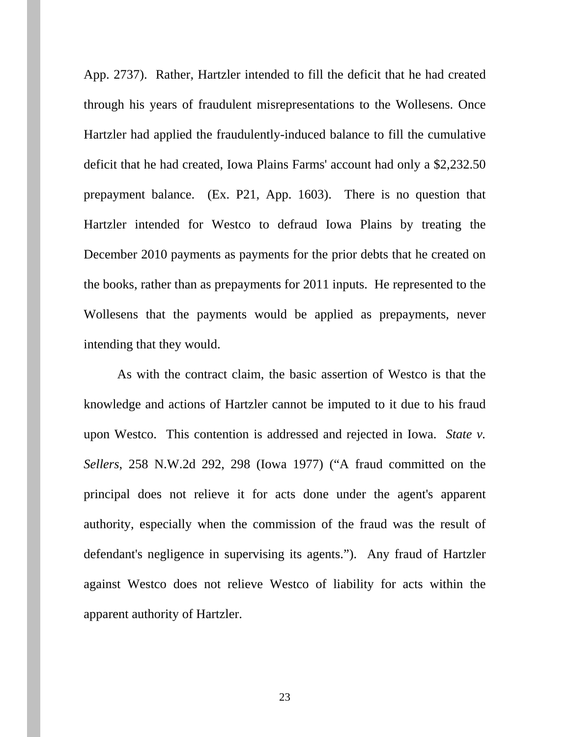App. 2737). Rather, Hartzler intended to fill the deficit that he had created through his years of fraudulent misrepresentations to the Wollesens. Once Hartzler had applied the fraudulently-induced balance to fill the cumulative deficit that he had created, Iowa Plains Farms' account had only a \$2,232.50 prepayment balance. (Ex. P21, App. 1603). There is no question that Hartzler intended for Westco to defraud Iowa Plains by treating the December 2010 payments as payments for the prior debts that he created on the books, rather than as prepayments for 2011 inputs. He represented to the Wollesens that the payments would be applied as prepayments, never intending that they would.

As with the contract claim, the basic assertion of Westco is that the knowledge and actions of Hartzler cannot be imputed to it due to his fraud upon Westco. This contention is addressed and rejected in Iowa. *State v. Sellers*, 258 N.W.2d 292, 298 (Iowa 1977) ("A fraud committed on the principal does not relieve it for acts done under the agent's apparent authority, especially when the commission of the fraud was the result of defendant's negligence in supervising its agents."). Any fraud of Hartzler against Westco does not relieve Westco of liability for acts within the apparent authority of Hartzler.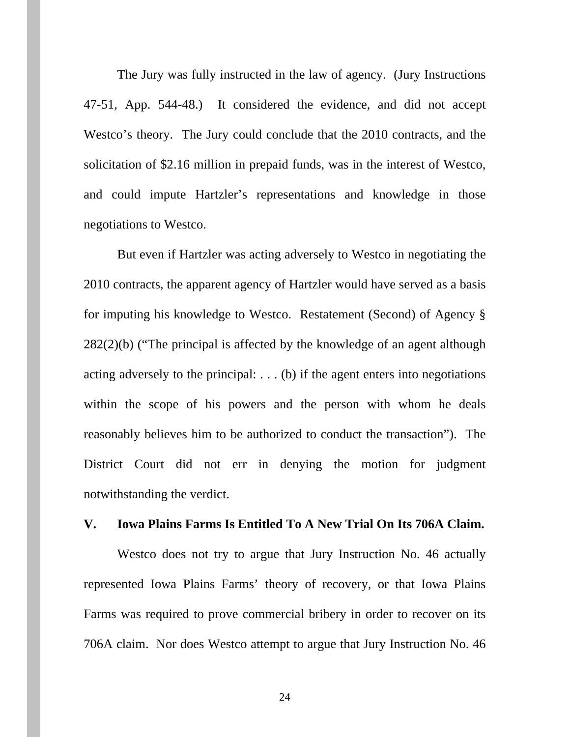The Jury was fully instructed in the law of agency. (Jury Instructions 47-51, App. 544-48.) It considered the evidence, and did not accept Westco's theory. The Jury could conclude that the 2010 contracts, and the solicitation of \$2.16 million in prepaid funds, was in the interest of Westco, and could impute Hartzler's representations and knowledge in those negotiations to Westco.

But even if Hartzler was acting adversely to Westco in negotiating the 2010 contracts, the apparent agency of Hartzler would have served as a basis for imputing his knowledge to Westco. Restatement (Second) of Agency § 282(2)(b) ("The principal is affected by the knowledge of an agent although acting adversely to the principal: . . . (b) if the agent enters into negotiations within the scope of his powers and the person with whom he deals reasonably believes him to be authorized to conduct the transaction"). The District Court did not err in denying the motion for judgment notwithstanding the verdict.

#### **V. Iowa Plains Farms Is Entitled To A New Trial On Its 706A Claim.**

Westco does not try to argue that Jury Instruction No. 46 actually represented Iowa Plains Farms' theory of recovery, or that Iowa Plains Farms was required to prove commercial bribery in order to recover on its 706A claim. Nor does Westco attempt to argue that Jury Instruction No. 46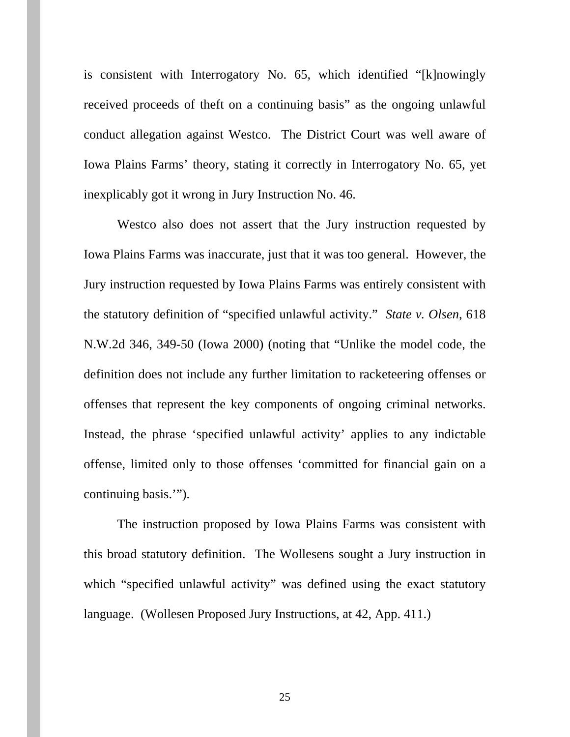is consistent with Interrogatory No. 65, which identified "[k]nowingly received proceeds of theft on a continuing basis" as the ongoing unlawful conduct allegation against Westco. The District Court was well aware of Iowa Plains Farms' theory, stating it correctly in Interrogatory No. 65, yet inexplicably got it wrong in Jury Instruction No. 46.

Westco also does not assert that the Jury instruction requested by Iowa Plains Farms was inaccurate, just that it was too general. However, the Jury instruction requested by Iowa Plains Farms was entirely consistent with the statutory definition of "specified unlawful activity." *State v. Olsen*, 618 N.W.2d 346, 349-50 (Iowa 2000) (noting that "Unlike the model code, the definition does not include any further limitation to racketeering offenses or offenses that represent the key components of ongoing criminal networks. Instead, the phrase 'specified unlawful activity' applies to any indictable offense, limited only to those offenses 'committed for financial gain on a continuing basis.'").

The instruction proposed by Iowa Plains Farms was consistent with this broad statutory definition. The Wollesens sought a Jury instruction in which "specified unlawful activity" was defined using the exact statutory language. (Wollesen Proposed Jury Instructions, at 42, App. 411.)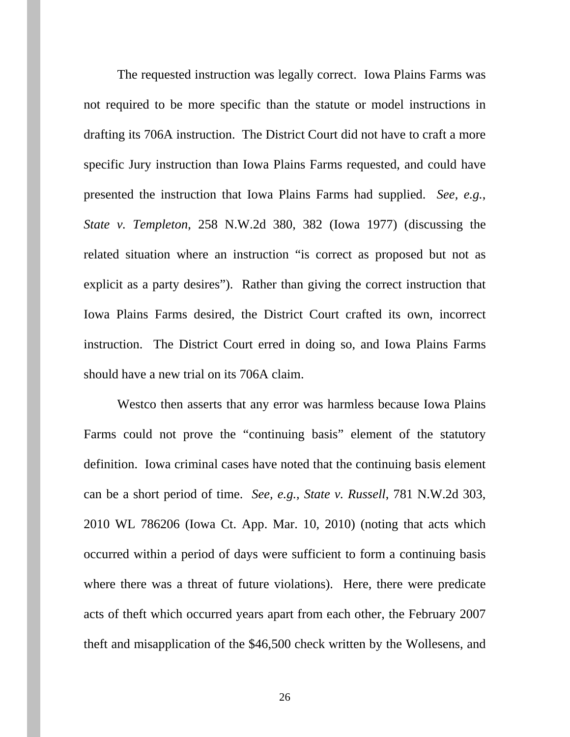The requested instruction was legally correct. Iowa Plains Farms was not required to be more specific than the statute or model instructions in drafting its 706A instruction. The District Court did not have to craft a more specific Jury instruction than Iowa Plains Farms requested, and could have presented the instruction that Iowa Plains Farms had supplied. *See, e.g.*, *State v. Templeton*, 258 N.W.2d 380, 382 (Iowa 1977) (discussing the related situation where an instruction "is correct as proposed but not as explicit as a party desires"). Rather than giving the correct instruction that Iowa Plains Farms desired, the District Court crafted its own, incorrect instruction. The District Court erred in doing so, and Iowa Plains Farms should have a new trial on its 706A claim.

Westco then asserts that any error was harmless because Iowa Plains Farms could not prove the "continuing basis" element of the statutory definition. Iowa criminal cases have noted that the continuing basis element can be a short period of time. *See, e.g., State v. Russell*, 781 N.W.2d 303, 2010 WL 786206 (Iowa Ct. App. Mar. 10, 2010) (noting that acts which occurred within a period of days were sufficient to form a continuing basis where there was a threat of future violations). Here, there were predicate acts of theft which occurred years apart from each other, the February 2007 theft and misapplication of the \$46,500 check written by the Wollesens, and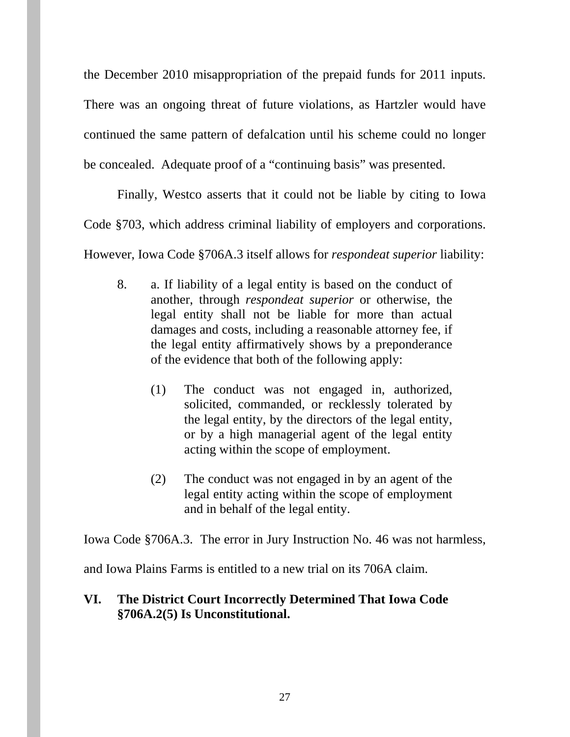the December 2010 misappropriation of the prepaid funds for 2011 inputs. There was an ongoing threat of future violations, as Hartzler would have continued the same pattern of defalcation until his scheme could no longer be concealed. Adequate proof of a "continuing basis" was presented.

Finally, Westco asserts that it could not be liable by citing to Iowa Code §703, which address criminal liability of employers and corporations. However, Iowa Code §706A.3 itself allows for *respondeat superior* liability:

- 8. a. If liability of a legal entity is based on the conduct of another, through *respondeat superior* or otherwise, the legal entity shall not be liable for more than actual damages and costs, including a reasonable attorney fee, if the legal entity affirmatively shows by a preponderance of the evidence that both of the following apply:
	- (1) The conduct was not engaged in, authorized, solicited, commanded, or recklessly tolerated by the legal entity, by the directors of the legal entity, or by a high managerial agent of the legal entity acting within the scope of employment.
	- (2) The conduct was not engaged in by an agent of the legal entity acting within the scope of employment and in behalf of the legal entity.

Iowa Code §706A.3. The error in Jury Instruction No. 46 was not harmless,

and Iowa Plains Farms is entitled to a new trial on its 706A claim.

## **VI. The District Court Incorrectly Determined That Iowa Code §706A.2(5) Is Unconstitutional.**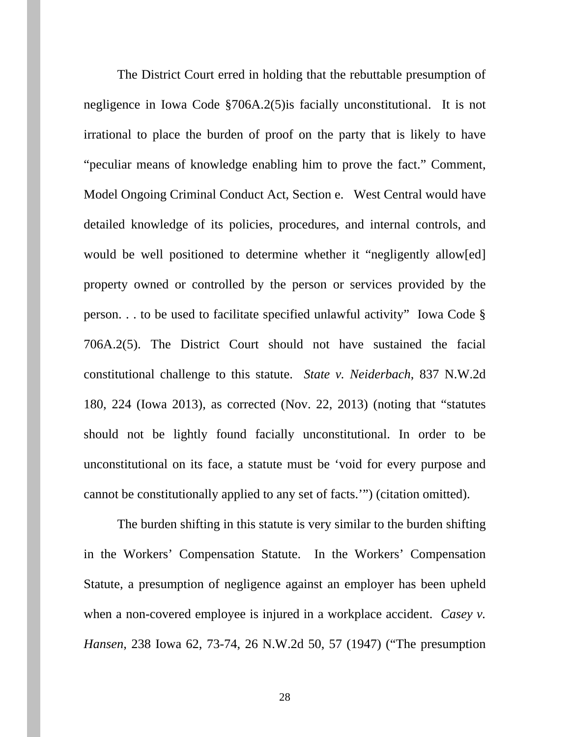The District Court erred in holding that the rebuttable presumption of negligence in Iowa Code §706A.2(5)is facially unconstitutional. It is not irrational to place the burden of proof on the party that is likely to have "peculiar means of knowledge enabling him to prove the fact." Comment, Model Ongoing Criminal Conduct Act, Section e. West Central would have detailed knowledge of its policies, procedures, and internal controls, and would be well positioned to determine whether it "negligently allow[ed] property owned or controlled by the person or services provided by the person. . . to be used to facilitate specified unlawful activity" Iowa Code § 706A.2(5). The District Court should not have sustained the facial constitutional challenge to this statute. *State v. Neiderbach*, 837 N.W.2d 180, 224 (Iowa 2013), as corrected (Nov. 22, 2013) (noting that "statutes should not be lightly found facially unconstitutional. In order to be unconstitutional on its face, a statute must be 'void for every purpose and cannot be constitutionally applied to any set of facts.'") (citation omitted).

The burden shifting in this statute is very similar to the burden shifting in the Workers' Compensation Statute. In the Workers' Compensation Statute, a presumption of negligence against an employer has been upheld when a non-covered employee is injured in a workplace accident. *Casey v. Hansen*, 238 Iowa 62, 73-74, 26 N.W.2d 50, 57 (1947) ("The presumption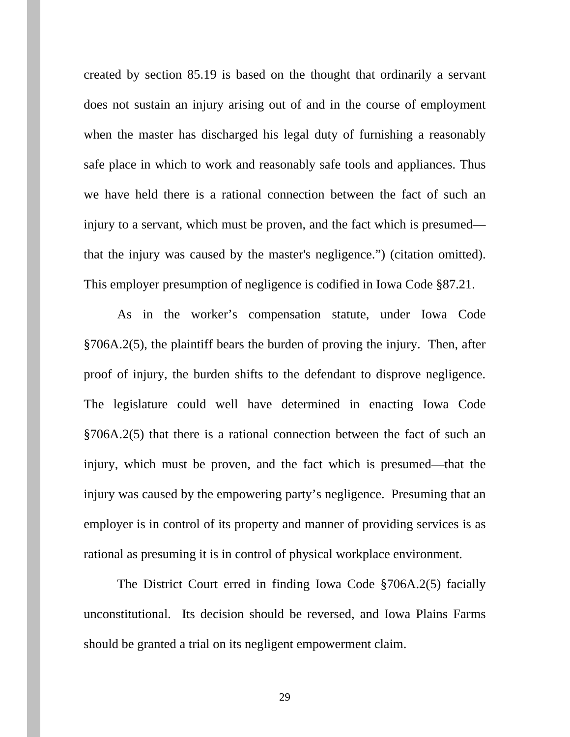created by section 85.19 is based on the thought that ordinarily a servant does not sustain an injury arising out of and in the course of employment when the master has discharged his legal duty of furnishing a reasonably safe place in which to work and reasonably safe tools and appliances. Thus we have held there is a rational connection between the fact of such an injury to a servant, which must be proven, and the fact which is presumed that the injury was caused by the master's negligence.") (citation omitted). This employer presumption of negligence is codified in Iowa Code §87.21.

As in the worker's compensation statute, under Iowa Code §706A.2(5), the plaintiff bears the burden of proving the injury. Then, after proof of injury, the burden shifts to the defendant to disprove negligence. The legislature could well have determined in enacting Iowa Code §706A.2(5) that there is a rational connection between the fact of such an injury, which must be proven, and the fact which is presumed—that the injury was caused by the empowering party's negligence. Presuming that an employer is in control of its property and manner of providing services is as rational as presuming it is in control of physical workplace environment.

The District Court erred in finding Iowa Code §706A.2(5) facially unconstitutional. Its decision should be reversed, and Iowa Plains Farms should be granted a trial on its negligent empowerment claim.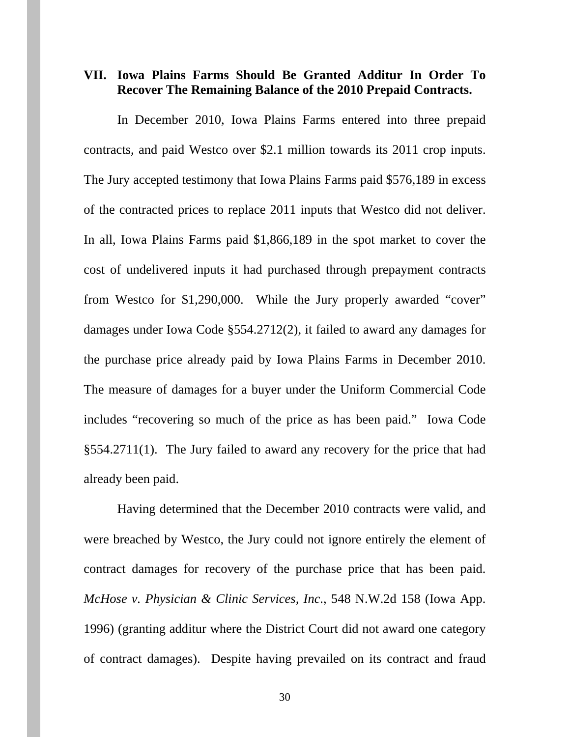#### **VII. Iowa Plains Farms Should Be Granted Additur In Order To Recover The Remaining Balance of the 2010 Prepaid Contracts.**

In December 2010, Iowa Plains Farms entered into three prepaid contracts, and paid Westco over \$2.1 million towards its 2011 crop inputs. The Jury accepted testimony that Iowa Plains Farms paid \$576,189 in excess of the contracted prices to replace 2011 inputs that Westco did not deliver. In all, Iowa Plains Farms paid \$1,866,189 in the spot market to cover the cost of undelivered inputs it had purchased through prepayment contracts from Westco for \$1,290,000. While the Jury properly awarded "cover" damages under Iowa Code §554.2712(2), it failed to award any damages for the purchase price already paid by Iowa Plains Farms in December 2010. The measure of damages for a buyer under the Uniform Commercial Code includes "recovering so much of the price as has been paid." Iowa Code §554.2711(1). The Jury failed to award any recovery for the price that had already been paid.

 Having determined that the December 2010 contracts were valid, and were breached by Westco, the Jury could not ignore entirely the element of contract damages for recovery of the purchase price that has been paid. *McHose v. Physician & Clinic Services, Inc*., 548 N.W.2d 158 (Iowa App. 1996) (granting additur where the District Court did not award one category of contract damages). Despite having prevailed on its contract and fraud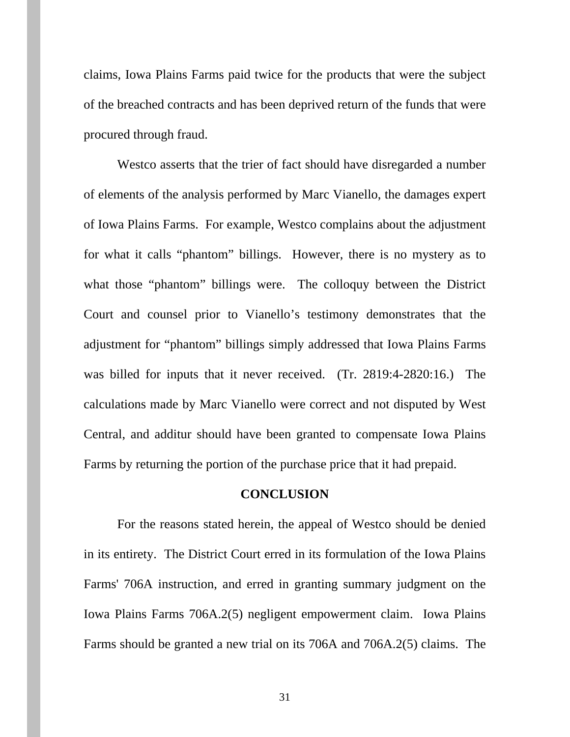claims, Iowa Plains Farms paid twice for the products that were the subject of the breached contracts and has been deprived return of the funds that were procured through fraud.

 Westco asserts that the trier of fact should have disregarded a number of elements of the analysis performed by Marc Vianello, the damages expert of Iowa Plains Farms. For example, Westco complains about the adjustment for what it calls "phantom" billings. However, there is no mystery as to what those "phantom" billings were. The colloquy between the District Court and counsel prior to Vianello's testimony demonstrates that the adjustment for "phantom" billings simply addressed that Iowa Plains Farms was billed for inputs that it never received. (Tr. 2819:4-2820:16.) The calculations made by Marc Vianello were correct and not disputed by West Central, and additur should have been granted to compensate Iowa Plains Farms by returning the portion of the purchase price that it had prepaid.

#### **CONCLUSION**

 For the reasons stated herein, the appeal of Westco should be denied in its entirety. The District Court erred in its formulation of the Iowa Plains Farms' 706A instruction, and erred in granting summary judgment on the Iowa Plains Farms 706A.2(5) negligent empowerment claim. Iowa Plains Farms should be granted a new trial on its 706A and 706A.2(5) claims. The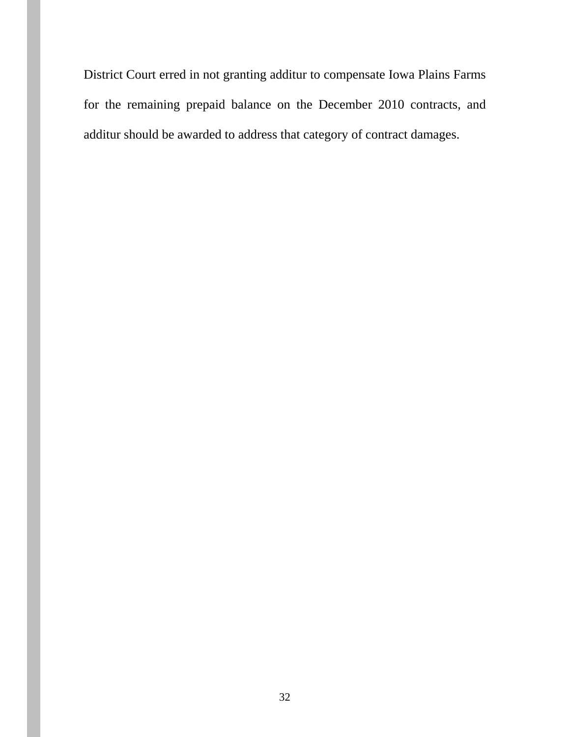District Court erred in not granting additur to compensate Iowa Plains Farms for the remaining prepaid balance on the December 2010 contracts, and additur should be awarded to address that category of contract damages.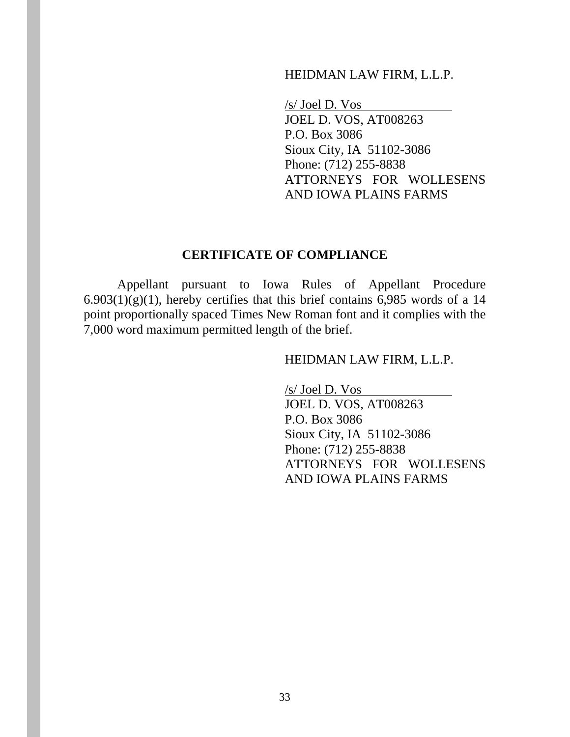#### HEIDMAN LAW FIRM, L.L.P.

/s/ Joel D. Vos JOEL D. VOS, AT008263 P.O. Box 3086 Sioux City, IA 51102-3086 Phone: (712) 255-8838 ATTORNEYS FOR WOLLESENS AND IOWA PLAINS FARMS

#### **CERTIFICATE OF COMPLIANCE**

 Appellant pursuant to Iowa Rules of Appellant Procedure  $6.903(1)(g)(1)$ , hereby certifies that this brief contains 6,985 words of a 14 point proportionally spaced Times New Roman font and it complies with the 7,000 word maximum permitted length of the brief.

#### HEIDMAN LAW FIRM, L.L.P.

/s/ Joel D. Vos JOEL D. VOS, AT008263 P.O. Box 3086 Sioux City, IA 51102-3086 Phone: (712) 255-8838 ATTORNEYS FOR WOLLESENS AND IOWA PLAINS FARMS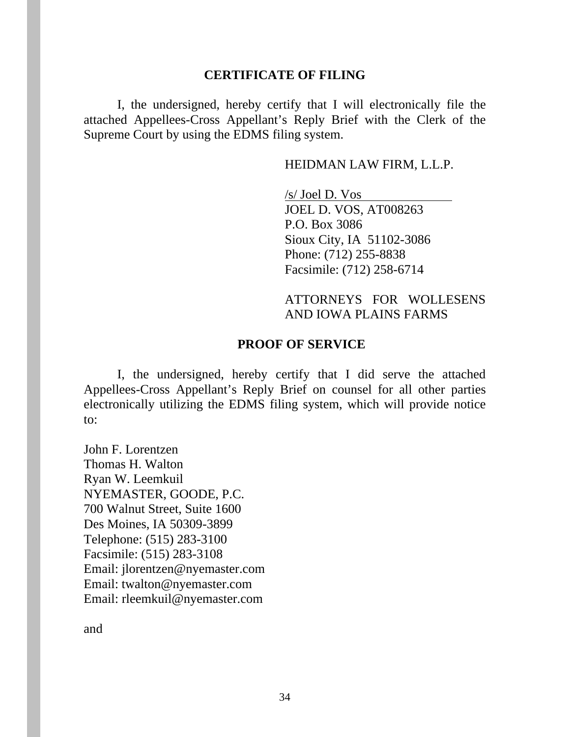#### **CERTIFICATE OF FILING**

I, the undersigned, hereby certify that I will electronically file the attached Appellees-Cross Appellant's Reply Brief with the Clerk of the Supreme Court by using the EDMS filing system.

#### HEIDMAN LAW FIRM, L.L.P.

 /s/ Joel D. Vos JOEL D. VOS, AT008263 P.O. Box 3086 Sioux City, IA 51102-3086 Phone: (712) 255-8838 Facsimile: (712) 258-6714

## ATTORNEYS FOR WOLLESENS AND IOWA PLAINS FARMS

#### **PROOF OF SERVICE**

I, the undersigned, hereby certify that I did serve the attached Appellees-Cross Appellant's Reply Brief on counsel for all other parties electronically utilizing the EDMS filing system, which will provide notice to:

John F. Lorentzen Thomas H. Walton Ryan W. Leemkuil NYEMASTER, GOODE, P.C. 700 Walnut Street, Suite 1600 Des Moines, IA 50309-3899 Telephone: (515) 283-3100 Facsimile: (515) 283-3108 Email: jlorentzen@nyemaster.com Email: twalton@nyemaster.com Email: rleemkuil@nyemaster.com

and